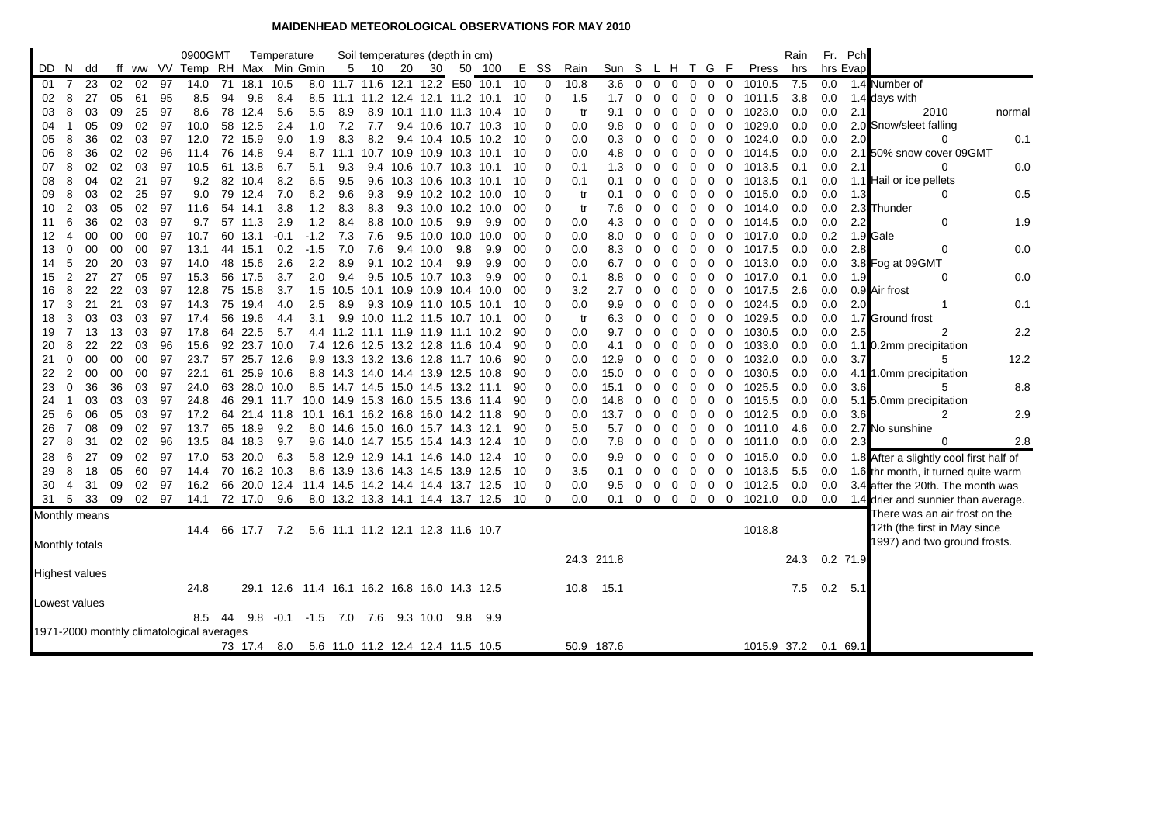## **MAIDENHEAD METEOROLOGICAL OBSERVATIONS FOR MAY 2010**

|    |                |                       |    |    |       | 0900GMT                                   |    |         | Temperature  |                                              |     | Soil temperatures (depth in cm)    |               |                         |           |        |     |          |      |                 |                |             |             |          |                            |                          | Rain | Fr.       | Pch        |                                         |        |
|----|----------------|-----------------------|----|----|-------|-------------------------------------------|----|---------|--------------|----------------------------------------------|-----|------------------------------------|---------------|-------------------------|-----------|--------|-----|----------|------|-----------------|----------------|-------------|-------------|----------|----------------------------|--------------------------|------|-----------|------------|-----------------------------------------|--------|
|    | DD N           | dd                    | ff |    |       | ww VV Temp RH Max Min Gmin                |    |         |              |                                              | 5   | 10                                 | 20            | 30                      |           | 50 100 | E.  | SS       | Rain | Sun S L H T G F |                |             |             |          |                            | Press                    | hrs  |           | hrs Evap   |                                         |        |
| 01 | 7              | 23                    | 02 | 02 | 97    | 14.0                                      |    |         | 71 18.1 10.5 |                                              |     | 8.0 11.7 11.6 12.1 12.2            |               |                         | E50       | 10.1   | 10  | 0        | 10.8 | 3.6             | $\overline{0}$ | $\mathbf 0$ | $\mathbf 0$ | 0        | $\mathbf 0$<br>0           | 1010.5                   | 7.5  | 0.0       |            | 1.4 Number of                           |        |
| 02 | 8              | 27                    | 05 | 61 | 95    | 8.5                                       | 94 | 9.8     | 8.4          |                                              |     | 8.5 11.1 11.2 12.4 12.1 11.2 10.1  |               |                         |           |        | 10  | 0        | 1.5  | 1.7             | 0              | 0           | 0           | 0        | 0                          | 0<br>1011.5              | 3.8  | 0.0       |            | 1.4 days with                           |        |
| 03 | 8              | 03                    | 09 | 25 | 97    | 8.6                                       |    | 78 12.4 | 5.6          | 5.5                                          | 8.9 | 8.9                                |               | 10.1 11.0 11.3 10.4     |           |        | 10  | 0        | tr   | 9.1             | 0              | 0           | 0           | $\Omega$ | 0                          | 0<br>1023.0              | 0.0  | 0.0       | 2.1        | 2010                                    | normal |
| 04 | -1             | 05                    | 09 | 02 | 97    | 10.0                                      | 58 | 12.5    | 2.4          | 1.0                                          | 7.2 | 7.7                                |               | 9.4 10.6 10.7 10.3      |           |        | 10  | 0        | 0.0  | 9.8             | 0              | 0           | 0           | 0        | 0                          | 0<br>1029.0              | 0.0  | 0.0       |            | 2.0 Snow/sleet falling                  |        |
| 05 | 8              | 36                    | 02 | 03 | 97    | 12.0                                      |    | 72 15.9 | 9.0          | 1.9                                          | 8.3 | 8.2                                |               | 9.4 10.4 10.5 10.2      |           |        | 10  | 0        | 0.0  | 0.3             | 0              | 0           | 0           | 0        | 0                          | 1024.0<br>0              | 0.0  | 0.0       | 2.0        | Ω                                       | 0.1    |
| 06 | 8              | 36                    | 02 | 02 | 96    | 11.4                                      |    | 76 14.8 | 9.4          |                                              |     | 8.7 11.1 10.7 10.9 10.9 10.3 10.1  |               |                         |           |        | 10  | 0        | 0.0  | 4.8             | 0              | 0           | 0           | 0        | 0<br>0                     | 1014.5                   | 0.0  | 0.0       |            | 2.1 50% snow cover 09GMT                |        |
| 07 | 8              | 02                    | 02 | 03 | 97    | 10.5                                      | 61 | 13.8    | 6.7          | 5.1                                          | 9.3 |                                    |               | 9.4 10.6 10.7 10.3 10.1 |           |        | 10  | 0        | 0.1  | 1.3             | 0              | 0           | 0           | 0        | 0                          | 0<br>1013.5              | 0.1  | 0.0       | 2.1        | 0                                       | 0.0    |
| 08 | 8              | 04                    | 02 | 21 | 97    | 9.2                                       |    | 82 10.4 | 8.2          | 6.5                                          | 9.5 | 9.6                                |               | 10.3 10.6 10.3 10.1     |           |        | 10  | 0        | 0.1  | 0.1             | 0              | 0           | 0           | 0        | 0                          | $\mathbf 0$<br>1013.5    | 0.1  | 0.0       |            | 1.1 Hail or ice pellets                 |        |
| 09 | 8              | 03                    | 02 | 25 | -97   | 9.0                                       |    | 79 12.4 | 7.0          | 6.2                                          | 9.6 | 9.3                                |               | 9.9 10.2 10.2 10.0      |           |        | 10  | O        | tr   | 0.1             | 0              | 0           | 0           | 0        | 0                          | 0<br>1015.0              | 0.0  | 0.0       | 1.3        | 0                                       | 0.5    |
| 10 | 2              | 03                    | 05 | 02 | 97    | 11.6                                      | 54 | 14.1    | 3.8          | 1.2                                          | 8.3 | 8.3                                |               | 9.3 10.0 10.2 10.0      |           |        | 00  | 0        | tr   | 7.6             | 0              | 0           | 0           | 0        | 0                          | 0<br>1014.0              | 0.0  | 0.0       |            | 2.3 Thunder                             |        |
| 11 | 6              | 36                    | 02 | 03 | 97    | 9.7                                       |    | 57 11.3 | 2.9          | 1.2                                          | 8.4 |                                    | 8.8 10.0 10.5 |                         | 9.9       | 9.9    | 00  | 0        | 0.0  | 4.3             | $\Omega$       | $\Omega$    | 0           | $\Omega$ | 0                          | 0<br>1014.5              | 0.0  | 0.0       | 2.2        | 0                                       | 1.9    |
| 12 | 4              | 00                    | 00 | 00 | 97    | 10.7                                      |    | 60 13.1 | $-0.1$       | $-1.2$                                       | 7.3 | 7.6                                |               | 9.5 10.0 10.0           |           | 10.0   | 00  | 0        | 0.0  | 8.0             | 0              | 0           | 0           | 0        | 0                          | 0 1017.0                 | 0.0  | 0.2       |            | 1.9 Gale                                |        |
| 13 | 0              | 00                    | 00 | 00 | 97    | 13.1                                      |    | 44 15.1 | 0.2          | $-1.5$                                       | 7.0 | 7.6                                |               | 9.4 10.0                | 9.8       | 9.9    | 00  | 0        | 0.0  | 8.3             | $\overline{0}$ | 0           | 0           | 0        | $\overline{0}$<br>0        | 1017.5                   | 0.0  | 0.0       | 2.8        | 0                                       | 0.0    |
| 14 | 5              | 20                    | 20 | 03 | 97    | 14.0                                      | 48 | 15.6    | 2.6          | 2.2                                          | 8.9 |                                    | 9.1 10.2 10.4 |                         | 9.9       | 9.9    | 00  | 0        | 0.0  | 6.7             | 0              | 0           | 0           | 0        | 0                          | 0<br>1013.0              | 0.0  | 0.0       |            | 3.8 Fog at 09GMT                        |        |
| 15 | 2              | 27                    | 27 | 05 | 97    | 15.3                                      |    | 56 17.5 | 3.7          | 2.0                                          | 9.4 |                                    |               | 9.5 10.5 10.7 10.3      |           | 9.9    | 00  | 0        | 0.1  | 8.8             | 0              | 0           | 0           | 0        | 0                          | 0<br>1017.0              | 0.1  | 0.0       | 1.9        | 0                                       | 0.0    |
| 16 | 8              | 22                    | 22 | 03 | 97    | 12.8                                      |    | 75 15.8 | 3.7          | 1.5                                          |     | 10.5 10.1 10.9 10.9 10.4 10.0      |               |                         |           |        | 00  | 0        | 3.2  | 2.7             | 0              | 0           | 0           | 0        | 0                          | 0<br>1017.5              | 2.6  | 0.0       |            | 0.9 Air frost                           |        |
| 17 | 3              | 21                    | 21 | 03 | 97    | 14.3                                      | 75 | 19.4    | 4.0          | 2.5                                          | 8.9 |                                    |               | 9.3 10.9 11.0 10.5 10.1 |           |        | 10  | 0        | 0.0  | 9.9             | $\Omega$       | 0           | 0           | $\Omega$ | 0                          | 1024.5<br>0              | 0.0  | 0.0       | 2.0        | 1                                       | 0.1    |
| 18 | 3              | 03                    | 03 | 03 | 97    | 17.4                                      |    | 56 19.6 | 4.4          | 3.1                                          |     | 9.9 10.0 11.2 11.5 10.7 10.1       |               |                         |           |        | 00  | 0        | tr   | 6.3             | 0              | 0           | 0           | 0        | 0<br>0                     | 1029.5                   | 0.0  | 0.0       |            | 1.7 Ground frost                        |        |
| 19 | $\overline{7}$ | 13                    | 13 | 03 | 97    | 17.8                                      |    | 64 22.5 | 5.7          |                                              |     | 4.4 11.2 11.1 11.9 11.9 11.1 10.2  |               |                         |           |        | 90  | $\Omega$ | 0.0  | 9.7             | $\mathbf 0$    | 0           | 0           | 0        | 0                          | 1030.5<br>0              | 0.0  | 0.0       | 2.5        | 2                                       | 2.2    |
| 20 | 8              | 22                    | 22 | 03 | 96    | 15.6                                      |    |         | 92 23.7 10.0 |                                              |     | 7.4 12.6 12.5 13.2 12.8 11.6       |               |                         |           | -10.4  | 90  | 0        | 0.0  | 4.1             | 0              | 0           | 0           | 0        | 0<br>0                     | 1033.0                   | 0.0  | 0.0       |            | 1.1 0.2mm precipitation                 |        |
| 21 | 0              | 00                    | 00 | 00 | 97    | 23.7                                      |    |         | 57 25.7 12.6 |                                              |     | 9.9 13.3 13.2 13.6 12.8 11.7 10.6  |               |                         |           |        | 90  | 0        | 0.0  | 12.9            | 0              | 0           | 0           | 0        | 0                          | 0<br>1032.0              | 0.0  | 0.0       | 3.7        | 5                                       | 12.2   |
| 22 | 2              | 00                    | 00 | 00 | 97    | 22.1                                      |    |         | 61 25.9 10.6 |                                              |     | 8.8 14.3 14.0 14.4 13.9 12.5 10.8  |               |                         |           |        | 90  | 0        | 0.0  | 15.0            | 0              | 0           | 0           | 0        | 0                          | 0<br>1030.5              | 0.0  | 0.0       | 4.1        | 1.0mm precipitation                     |        |
| 23 | 0              | 36                    | 36 | 03 | 97    | 24.0                                      |    |         | 63 28.0 10.0 |                                              |     | 8.5 14.7 14.5 15.0 14.5 13.2 11.1  |               |                         |           |        | 90  | 0        | 0.0  | 15.1            | 0              | 0           | 0           | 0        | 0<br>0                     | 1025.5                   | 0.0  | 0.0       | 3.6        | 5                                       | 8.8    |
| 24 | 1              | 03                    | 03 | 03 | 97    | 24.8                                      |    |         | 46 29.1 11.7 |                                              |     | 10.0 14.9 15.3 16.0 15.5 13.6      |               |                         |           | 11.4   | 90  | 0        | 0.0  | 14.8            | 0              | $\Omega$    | 0           | 0        | 0                          | $\mathbf 0$<br>1015.5    | 0.0  | 0.0       |            | 5.1 5.0mm precipitation                 |        |
| 25 | 6              | 06                    | 05 | 03 | 97    | 17.2                                      |    |         | 64 21.4 11.8 |                                              |     | 10.1 16.1 16.2 16.8                |               | 16.0 14.2 11.8          |           |        | 90  | 0        | 0.0  | 13.7            | 0              | 0           | 0           | 0        | 0                          | 0<br>1012.5              | 0.0  | 0.0       | 3.6        | 2                                       | 2.9    |
| 26 | $\overline{7}$ | 08                    | 09 | 02 | 97    | 13.7                                      |    | 65 18.9 | 9.2          |                                              |     | 8.0 14.6 15.0 16.0 15.7 14.3 12.1  |               |                         |           |        | 90  | 0        | 5.0  | 5.7             | 0              | 0           | 0           | 0        | 0                          | 0<br>1011.0              | 4.6  | 0.0       |            | 2.7 No sunshine                         |        |
| 27 | 8              | 31                    | 02 | 02 | 96    | 13.5                                      |    | 84 18.3 | 9.7          |                                              |     | 9.6 14.0 14.7 15.5 15.4 14.3 12.4  |               |                         |           |        | -10 | 0        | 0.0  | 7.8             | 0              | 0           | 0           | 0        | $\mathbf 0$<br>$\mathbf 0$ | 1011.0                   | 0.0  | 0.0       | 2.3        | 0                                       | 2.8    |
| 28 | 6              | 27                    | 09 | 02 | 97    | 17.0                                      |    | 53 20.0 | 6.3          |                                              |     | 5.8 12.9 12.9                      |               | 14.1 14.6               | 14.0 12.4 |        | 10  | $\Omega$ | 0.0  | 9.9             | $\Omega$       | 0           | 0           | 0        | 0                          | 0<br>1015.0              | 0.0  | 0.0       |            | 1.8 After a slightly cool first half of |        |
| 29 | 8              | 18                    | 05 | 60 | 97    | 14.4                                      |    |         | 70 16.2 10.3 |                                              |     | 8.6 13.9 13.6 14.3 14.5 13.9 12.5  |               |                         |           |        | -10 | 0        | 3.5  | 0.1             | 0              | 0           | 0           | 0        | $\mathbf 0$                | $\mathbf 0$<br>1013.5    | 5.5  | 0.0       |            | 1.6 thr month, it turned quite warm     |        |
| 30 | 4              | 31                    | 09 | 02 | 97    | 16.2                                      |    |         | 66 20.0 12.4 |                                              |     | 11.4 14.5 14.2 14.4 14.4 13.7 12.5 |               |                         |           |        | -10 | 0        | 0.0  | 9.5             | $\mathbf{0}$   | $\mathbf 0$ | $0\quad 0$  |          | $\overline{0}$             | $\overline{0}$<br>1012.5 | 0.0  | 0.0       |            | 3.4 after the 20th. The month was       |        |
| 31 | 5              | 33                    | 09 |    | 02 97 | 14.1                                      |    |         | 72 17.0 9.6  |                                              |     | 8.0 13.2 13.3 14.1 14.4 13.7 12.5  |               |                         |           |        | -10 | $\Omega$ | 0.0  | 0.1             |                |             |             |          |                            | 0 0 0 0 0 0 1021.0       | 0.0  | 0.0       |            | 1.4 drier and sunnier than average.     |        |
|    |                | Monthly means         |    |    |       |                                           |    |         |              |                                              |     |                                    |               |                         |           |        |     |          |      |                 |                |             |             |          |                            |                          |      |           |            | There was an air frost on the           |        |
|    |                |                       |    |    |       | 14.4                                      |    | 66 17.7 | 7.2          |                                              |     | 5.6 11.1 11.2 12.1 12.3 11.6 10.7  |               |                         |           |        |     |          |      |                 |                |             |             |          |                            | 1018.8                   |      |           |            | 12th (the first in May since            |        |
|    |                | Monthly totals        |    |    |       |                                           |    |         |              |                                              |     |                                    |               |                         |           |        |     |          |      |                 |                |             |             |          |                            |                          |      |           |            | 1997) and two ground frosts.            |        |
|    |                |                       |    |    |       |                                           |    |         |              |                                              |     |                                    |               |                         |           |        |     |          |      | 24.3 211.8      |                |             |             |          |                            |                          | 24.3 | 0.2 71.9  |            |                                         |        |
|    |                | <b>Highest values</b> |    |    |       |                                           |    |         |              |                                              |     |                                    |               |                         |           |        |     |          |      |                 |                |             |             |          |                            |                          |      |           |            |                                         |        |
|    |                |                       |    |    |       | 24.8                                      |    |         |              | 29.1 12.6 11.4 16.1 16.2 16.8 16.0 14.3 12.5 |     |                                    |               |                         |           |        |     |          | 10.8 | 15.1            |                |             |             |          |                            |                          | 7.5  | $0.2$ 5.1 |            |                                         |        |
|    |                | Lowest values         |    |    |       |                                           |    |         |              |                                              |     |                                    |               |                         |           |        |     |          |      |                 |                |             |             |          |                            |                          |      |           |            |                                         |        |
|    |                |                       |    |    |       | 8.5                                       | 44 | 9.8     |              | $-0.1$ $-1.5$ 7.0 7.6                        |     |                                    |               | 9.3 10.0 9.8            |           | 9.9    |     |          |      |                 |                |             |             |          |                            |                          |      |           |            |                                         |        |
|    |                |                       |    |    |       | 1971-2000 monthly climatological averages |    |         |              |                                              |     |                                    |               |                         |           |        |     |          |      |                 |                |             |             |          |                            |                          |      |           |            |                                         |        |
|    |                |                       |    |    |       |                                           |    |         | 73 17.4 8.0  |                                              |     | 5.6 11.0 11.2 12.4 12.4 11.5 10.5  |               |                         |           |        |     |          |      | 50.9 187.6      |                |             |             |          |                            | 1015.9 37.2              |      |           | $0.1$ 69.1 |                                         |        |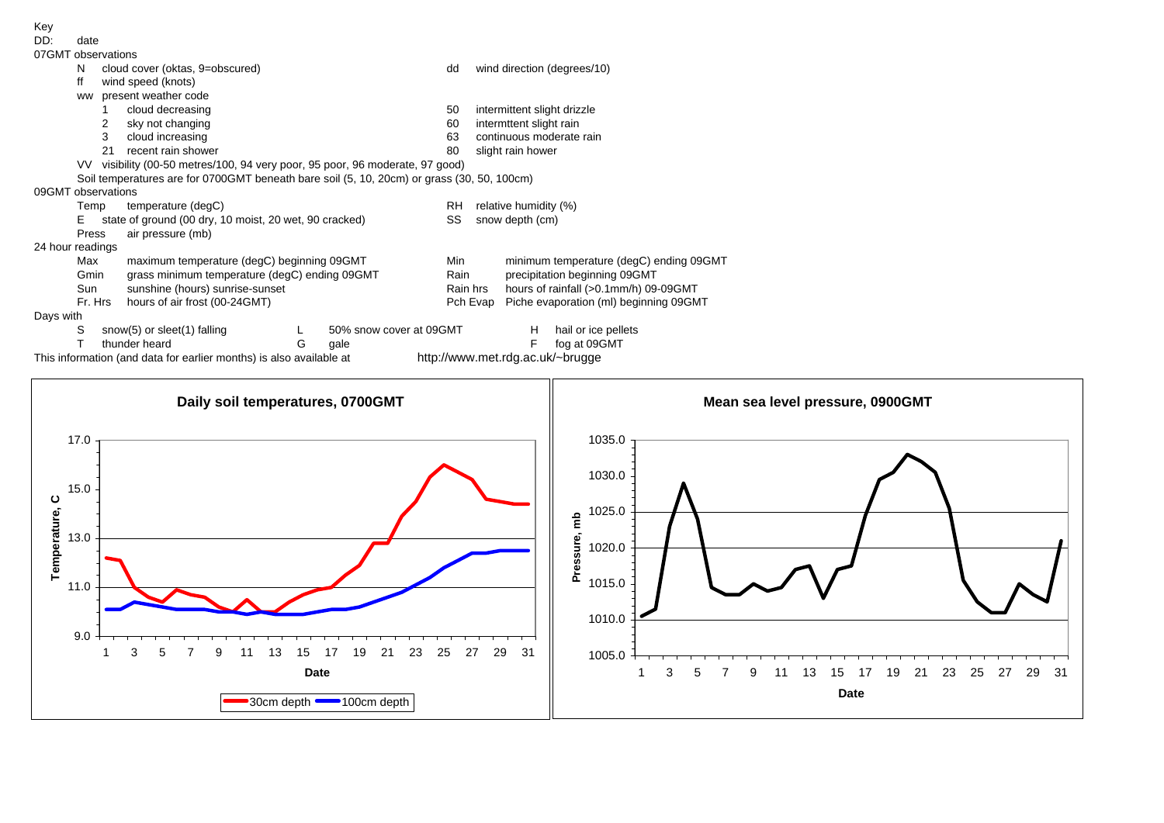| DD:                | date    |                                                                               |                                                                                            |            |                         |     |                             |                                                                        |                                          |  |  |  |  |  |
|--------------------|---------|-------------------------------------------------------------------------------|--------------------------------------------------------------------------------------------|------------|-------------------------|-----|-----------------------------|------------------------------------------------------------------------|------------------------------------------|--|--|--|--|--|
| 07GMT observations |         |                                                                               |                                                                                            |            |                         |     |                             |                                                                        |                                          |  |  |  |  |  |
|                    | N       |                                                                               | cloud cover (oktas, 9=obscured)                                                            |            |                         | dd  |                             |                                                                        | wind direction (degrees/10)              |  |  |  |  |  |
|                    | ff      |                                                                               | wind speed (knots)                                                                         |            |                         |     |                             |                                                                        |                                          |  |  |  |  |  |
|                    | ww      |                                                                               | present weather code                                                                       |            |                         |     |                             |                                                                        |                                          |  |  |  |  |  |
|                    |         | cloud decreasing                                                              |                                                                                            |            |                         | 50  | intermittent slight drizzle |                                                                        |                                          |  |  |  |  |  |
|                    |         | sky not changing<br>2                                                         |                                                                                            |            |                         | 60  |                             | intermttent slight rain                                                |                                          |  |  |  |  |  |
|                    |         | 3                                                                             | cloud increasing                                                                           |            |                         | 63  |                             |                                                                        | continuous moderate rain                 |  |  |  |  |  |
|                    |         | 21                                                                            | recent rain shower                                                                         |            |                         | 80  |                             | slight rain hower                                                      |                                          |  |  |  |  |  |
|                    |         | VV visibility (00-50 metres/100, 94 very poor, 95 poor, 96 moderate, 97 good) |                                                                                            |            |                         |     |                             |                                                                        |                                          |  |  |  |  |  |
|                    |         |                                                                               | Soil temperatures are for 0700GMT beneath bare soil (5, 10, 20cm) or grass (30, 50, 100cm) |            |                         |     |                             |                                                                        |                                          |  |  |  |  |  |
| 09GMT observations |         |                                                                               |                                                                                            |            |                         |     |                             |                                                                        |                                          |  |  |  |  |  |
|                    | Temp    |                                                                               | temperature (degC)                                                                         |            |                         | RH  | relative humidity (%)       |                                                                        |                                          |  |  |  |  |  |
|                    | F.      |                                                                               | state of ground (00 dry, 10 moist, 20 wet, 90 cracked)                                     |            |                         | SS  | snow depth (cm)             |                                                                        |                                          |  |  |  |  |  |
|                    | Press   |                                                                               | air pressure (mb)                                                                          |            |                         |     |                             |                                                                        |                                          |  |  |  |  |  |
| 24 hour readings   |         |                                                                               |                                                                                            |            |                         |     |                             |                                                                        |                                          |  |  |  |  |  |
|                    | Max     |                                                                               | maximum temperature (degC) beginning 09GMT                                                 |            |                         | Min |                             | minimum temperature (degC) ending 09GMT                                |                                          |  |  |  |  |  |
|                    | Gmin    |                                                                               | grass minimum temperature (degC) ending 09GMT                                              |            |                         |     | Rain                        | precipitation beginning 09GMT<br>hours of rainfall (>0.1mm/h) 09-09GMT |                                          |  |  |  |  |  |
|                    | Sun     |                                                                               | sunshine (hours) sunrise-sunset                                                            |            |                         |     | Rain hrs                    |                                                                        |                                          |  |  |  |  |  |
|                    | Fr. Hrs |                                                                               | hours of air frost (00-24GMT)                                                              |            |                         |     | Pch Evap                    |                                                                        | Piche evaporation (ml) beginning 09GMT   |  |  |  |  |  |
| Days with          |         |                                                                               |                                                                                            |            |                         |     |                             |                                                                        |                                          |  |  |  |  |  |
|                    | S       |                                                                               | snow(5) or sleet(1) falling                                                                |            | 50% snow cover at 09GMT |     |                             | H                                                                      | hail or ice pellets                      |  |  |  |  |  |
|                    |         |                                                                               | thunder heard                                                                              | $\epsilon$ | مادہ                    |     |                             | F                                                                      | $f \circ \sigma$ of $\Omega$ $\Omega$ MT |  |  |  |  |  |

This information (and data for earlier months) is also available at



Key